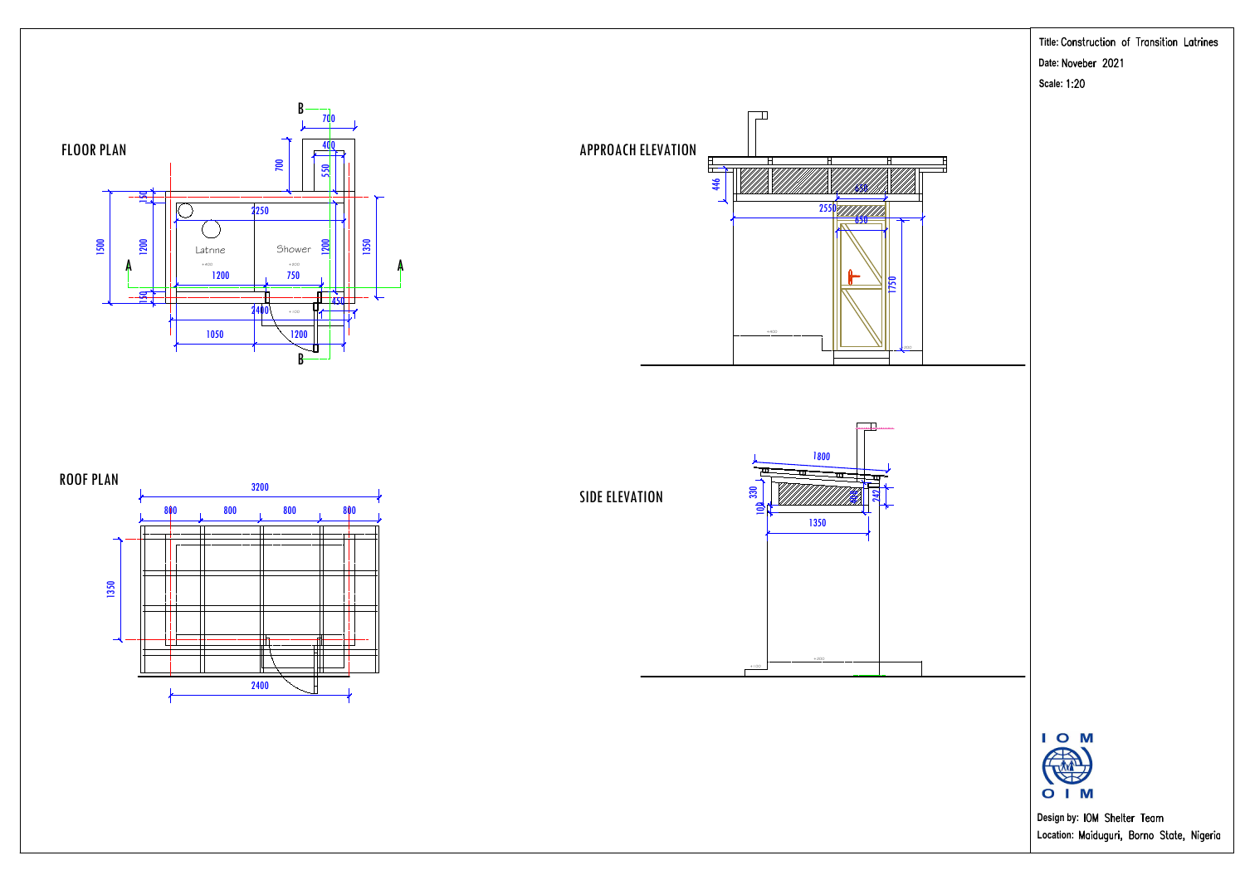